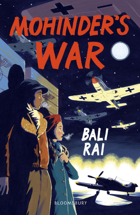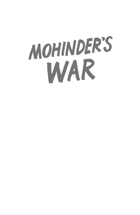# MOHINDER'S WAR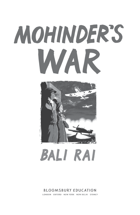## **MOHINDER'S MAP** WARRANG MEL



## **BALI RAI**

#### **BLOOMSBURY EDUCATION**

LONDON OXFORD NEW YORK NEW DELHI SYDNEY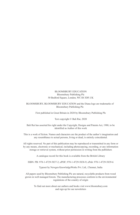#### BLOOMSBURY EDUCATION Bloomsbury Publishing Plc 50 Bedford Square, London, WC1B 3DP, UK

#### BLOOMSBURY, BLOOMSBURY EDUCATION and the Diana logo are trademarks of Bloomsbury Publishing Plc

First published in Great Britain in 2020 by Bloomsbury Publishing Plc

Text copyright © Bali Rai, 2020

Bali Rai has asserted his right under the Copyright, Designs and Patents Act, 1988, to be identified as Author of this work

This is a work of fiction. Names and characters are the product of the author's imagination and any resemblance to actual persons, living or dead, is entirely coincidental.

All rights reserved. No part of this publication may be reproduced or transmitted in any form or by any means, electronic or mechanical, including photocopying, recording, or any information storage or retrieval system, without prior permission in writing from the publishers

A catalogue record for this book is available from the British Library

ISBN: PB: 978-1-4729-5837-2; ePDF; 978-1-4729-5838-9; ePub: 978-1-4729-5839-6

Typeset by Newgen KnowledgeWorks Pvt. Ltd., Chennai, India

All papers used by Bloomsbury Publishing Plc are natural, recyclable products from wood grown in well managed forests. The manufacturing processes conform to the environmental regulations of the country of origin

To find out more about our authors and books visit www.bloomsbury.com and sign up for our newsletters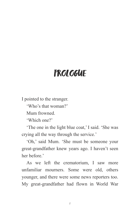### **PROLOGUE**

I pointed to the stranger.

'Who's that woman?'

Mum frowned.

'Which one?'

'The one in the light blue coat,' I said. 'She was crying all the way through the service.'

'Oh,' said Mum. 'She must be someone your great-grandfather knew years ago. I haven't seen her before.'

As we left the crematorium, I saw more unfamiliar mourners. Some were old, others younger, and there were some news reporters too. My great-grandfather had flown in World War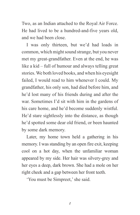Two, as an Indian attached to the Royal Air Force. He had lived to be a hundred-and-five years old, and we had been close.

I was only thirteen, but we'd had loads in common, which might sound strange, but you never met my great-grandfather. Even at the end, he was like a kid – full of humour and always telling great stories. We both loved books, and when his eyesight failed, I would read to him whenever I could. My grandfather, his only son, had died before him, and he'd lost many of his friends during and after the war. Sometimes I'd sit with him in the gardens of his care home, and he'd become suddenly wistful. He'd stare sightlessly into the distance, as though he'd spotted some dear old friend, or been haunted by some dark memory.

Later, my home town held a gathering in his memory. I was standing by an open fire exit, keeping cool on a hot day, when the unfamiliar woman appeared by my side. Her hair was silvery-grey and her eyes a deep, dark brown. She had a mole on her right cheek and a gap between her front teeth.

'You must be Simpreet,' she said.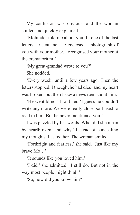My confusion was obvious, and the woman smiled and quickly explained.

'Mohinder told me about you. In one of the last letters he sent me. He enclosed a photograph of you with your mother. I recognised your mother at the crematorium<sup>'</sup>

'My great-grandad wrote to you?'

She nodded.

'Every week, until a few years ago. Then the letters stopped. I thought he had died, and my heart was broken, but then I saw a news item about him.'

'He went blind,' I told her. 'I guess he couldn't write any more. We were really close, so I used to read to him. But he never mentioned you.'

I was puzzled by her words. What did she mean by heartbroken, and why? Instead of concealing my thoughts, I asked her. The woman smiled.

'Forthright and fearless,' she said. 'Just like my brave Mo…'

'It sounds like you loved him.'

'I did,' she admitted. 'I still do. But not in the way most people might think.'

'So, how did you know him?'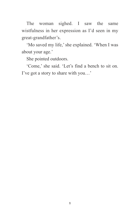The woman sighed. I saw the same wistfulness in her expression as I'd seen in my great-grandfather's.

'Mo saved my life,' she explained. 'When I was about your age.'

She pointed outdoors.

'Come,' she said. 'Let's find a bench to sit on. I've got a story to share with you…'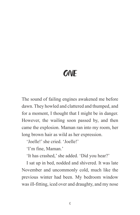### **ONE**

The sound of failing engines awakened me before dawn. They howled and clattered and thumped, and for a moment, I thought that I might be in danger. However, the wailing soon passed by, and then came the explosion. Maman ran into my room, her long brown hair as wild as her expression.

'Joelle!' she cried. 'Joelle!'

'I'm fine, Maman.'

'It has crashed,' she added. 'Did you hear?'

I sat up in bed, nodded and shivered. It was late November and uncommonly cold, much like the previous winter had been. My bedroom window was ill-fitting, iced over and draughty, and my nose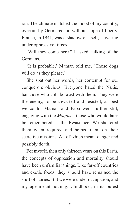ran. The climate matched the mood of my country, overrun by Germans and without hope of liberty. France, in 1941, was a shadow of itself, shivering under oppressive forces.

'Will they come here?' I asked, talking of the Germans.

'It is probable,' Maman told me. 'Those dogs will do as they please.'

She spat out her words, her contempt for our conquerors obvious. Everyone hated the Nazis, bar those who collaborated with them. They were the enemy, to be thwarted and resisted, as best we could. Maman and Papa went further still, engaging with the *Maquis* – those who would later be remembered as the Resistance. We sheltered them when required and helped them on their secretive missions. All of which meant danger and possibly death.

For myself, then only thirteen years on this Earth, the concepts of oppression and mortality should have been unfamiliar things. Like far-off countries and exotic foods, they should have remained the stuff of stories. But we were under occupation, and my age meant nothing. Childhood, in its purest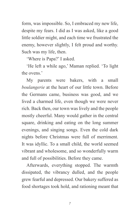form, was impossible. So, I embraced my new life, despite my fears. I did as I was asked, like a good little soldier might, and each time we frustrated the enemy, however slightly, I felt proud and worthy. Such was my life, then.

'Where is Papa?' I asked.

'He left a while ago,' Maman replied. 'To light the ovens.'

My parents were bakers, with a small *boulangerie* at the heart of our little town. Before the Germans came, business was good, and we lived a charmed life, even though we were never rich. Back then, our town was lively and the people mostly cheerful. Many would gather in the central square, drinking and eating on the long summer evenings, and singing songs. Even the cold dark nights before Christmas were full of merriment. It was idyllic. To a small child, the world seemed vibrant and wholesome, and so wonderfully warm and full of possibilities. Before they came.

Afterwards, everything stopped. The warmth dissipated, the vibrancy dulled, and the people grew fearful and depressed. Our bakery suffered as food shortages took hold, and rationing meant that

7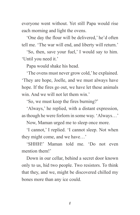everyone went without. Yet still Papa would rise each morning and light the ovens.

'One day the flour will be delivered,' he'd often tell me. 'The war will end, and liberty will return.'

'So, then, save your fuel,' I would say to him. 'Until you need it.'

Papa would shake his head.

'The ovens must never grow cold,' he explained. 'They are hope, Joelle, and we must always have hope. If the fires go out, we have let these animals win. And we will not let them win.'

'So, we must keep the fires burning?'

'Always,' he replied, with a distant expression, as though he were forlorn in some way. 'Always…'

Now, Maman urged me to sleep once more.

'I cannot,' I replied. 'I cannot sleep. Not when they might come, and we have…'

'SHHH!' Maman told me. 'Do not even mention them!'

Down in our cellar, behind a secret door known only to us, hid two people. Two resistors. To think that they, and we, might be discovered chilled my bones more than any ice could.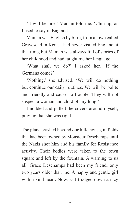'It will be fine,' Maman told me. 'Chin up, as I used to say in England.'

Maman was English by birth, from a town called Gravesend in Kent. I had never visited England at that time, but Maman was always full of stories of her childhood and had taught me her language.

'What shall we do?' I asked her. 'If the Germans come?'

'Nothing,' she advised. 'We will do nothing but continue our daily routines. We will be polite and friendly and cause no trouble. They will not suspect a woman and child of anything.'

I nodded and pulled the covers around myself, praying that she was right.

The plane crashed beyond our little house, in fields that had been owned by Monsieur Deschamps until the Nazis shot him and his family for Resistance activity. Their bodies were taken to the town square and left by the fountain. A warning to us all. Grace Deschamps had been my friend, only two years older than me. A happy and gentle girl with a kind heart. Now, as I trudged down an icy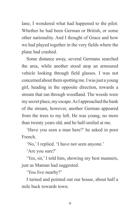lane, I wondered what had happened to the pilot. Whether he had been German or British, or some other nationality. And I thought of Grace and how we had played together in the very fields where the plane had crashed.

Some distance away, several Germans searched the area, while another stood atop an armoured vehicle looking through field glasses. I was not concerned about them spotting me. Iwas just a young girl, heading in the opposite direction, towards a stream that ran through woodland. The woods were my secret place, my escape. As I approached the bank of the stream, however, another German appeared from the trees to my left. He was young, no more than twenty years old, and he half-smiled at me.

'Have you seen a man here?' he asked in poor French.

'No,' I replied. 'I have not seen anyone.'

'Are you sure?'

'Yes, sir,' I told him, showing my best manners, just as Maman had suggested.

'You live nearby?'

I turned and pointed out our house, about half a mile back towards town.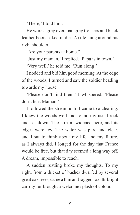'There,' I told him.

He wore a grey overcoat, grey trousers and black leather boots caked in dirt. A rifle hung around his right shoulder.

'Are your parents at home?'

'Just my maman,' I replied. 'Papa is in town.'

'Very well,' he told me. 'Run along!'

I nodded and bid him good morning. At the edge of the woods, I turned and saw the soldier heading towards my house.

'Please don't find them,' I whispered. 'Please don't hurt Maman.'

I followed the stream until I came to a clearing. I knew the woods well and found my usual rock and sat down. The stream widened here, and its edges were icy. The water was pure and clear, and I sat to think about my life and my future, as I always did. I longed for the day that France would be free, but that day seemed a long way off. A dream, impossible to reach.

A sudden rustling broke my thoughts. To my right, from a thicket of bushes dwarfed by several great oak trees, came a thin and ragged fox. Its bright carroty fur brought a welcome splash of colour.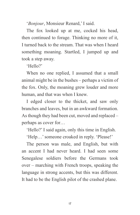'*Bonjour*, Monsieur Renard,' I said.

The fox looked up at me, cocked his head, then continued to forage. Thinking no more of it, I turned back to the stream. That was when I heard something moaning. Startled, I jumped up and took a step away.

'Hello?'

When no one replied, I assumed that a small animal might be in the bushes – perhaps a victim of the fox. Only, the moaning grew louder and more human, and that was when I knew.

I edged closer to the thicket, and saw only branches and leaves, but in an awkward formation. As though they had been cut, moved and replaced – perhaps as cover for…

'Hello?' I said again, only this time in English.

'Help…' someone croaked in reply. 'Please!'

The person was male, and English, but with an accent I had never heard. I had seen some Senegalese soldiers before the Germans took over – marching with French troops, speaking the language in strong accents, but this was different. It had to be the English pilot of the crashed plane.